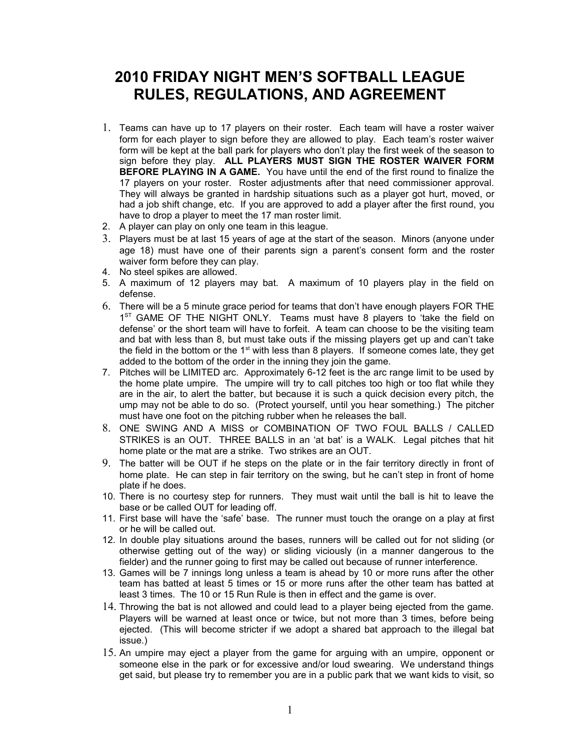## **2010 FRIDAY NIGHT MEN'S SOFTBALL LEAGUE RULES, REGULATIONS, AND AGREEMENT**

- 1. Teams can have up to 17 players on their roster. Each team will have a roster waiver form for each player to sign before they are allowed to play. Each team's roster waiver form will be kept at the ball park for players who don't play the first week of the season to sign before they play. **ALL PLAYERS MUST SIGN THE ROSTER WAIVER FORM BEFORE PLAYING IN A GAME.** You have until the end of the first round to finalize the 17 players on your roster. Roster adjustments after that need commissioner approval. They will always be granted in hardship situations such as a player got hurt, moved, or had a job shift change, etc. If you are approved to add a player after the first round, you have to drop a player to meet the 17 man roster limit.
- 2. A player can play on only one team in this league.
- 3. Players must be at last 15 years of age at the start of the season. Minors (anyone under age 18) must have one of their parents sign a parent's consent form and the roster waiver form before they can play.
- 4. No steel spikes are allowed.
- 5. A maximum of 12 players may bat. A maximum of 10 players play in the field on defense.
- 6. There will be a 5 minute grace period for teams that don't have enough players FOR THE  $1<sup>ST</sup>$  GAME OF THE NIGHT ONLY. Teams must have 8 players to 'take the field on defense' or the short team will have to forfeit. A team can choose to be the visiting team and bat with less than 8, but must take outs if the missing players get up and can't take the field in the bottom or the  $1<sup>st</sup>$  with less than 8 players. If someone comes late, they get added to the bottom of the order in the inning they join the game.
- 7. Pitches will be LIMITED arc. Approximately 6-12 feet is the arc range limit to be used by the home plate umpire. The umpire will try to call pitches too high or too flat while they are in the air, to alert the batter, but because it is such a quick decision every pitch, the ump may not be able to do so. (Protect yourself, until you hear something.) The pitcher must have one foot on the pitching rubber when he releases the ball.
- 8. ONE SWING AND A MISS or COMBINATION OF TWO FOUL BALLS / CALLED STRIKES is an OUT. THREE BALLS in an 'at bat' is a WALK. Legal pitches that hit home plate or the mat are a strike. Two strikes are an OUT.
- 9. The batter will be OUT if he steps on the plate or in the fair territory directly in front of home plate. He can step in fair territory on the swing, but he can't step in front of home plate if he does.
- 10. There is no courtesy step for runners. They must wait until the ball is hit to leave the base or be called OUT for leading off.
- 11. First base will have the 'safe' base. The runner must touch the orange on a play at first or he will be called out.
- 12. In double play situations around the bases, runners will be called out for not sliding (or otherwise getting out of the way) or sliding viciously (in a manner dangerous to the fielder) and the runner going to first may be called out because of runner interference.
- 13. Games will be 7 innings long unless a team is ahead by 10 or more runs after the other team has batted at least 5 times or 15 or more runs after the other team has batted at least 3 times. The 10 or 15 Run Rule is then in effect and the game is over.
- 14. Throwing the bat is not allowed and could lead to a player being ejected from the game. Players will be warned at least once or twice, but not more than 3 times, before being ejected. (This will become stricter if we adopt a shared bat approach to the illegal bat issue.)
- 15. An umpire may eject a player from the game for arguing with an umpire, opponent or someone else in the park or for excessive and/or loud swearing. We understand things get said, but please try to remember you are in a public park that we want kids to visit, so